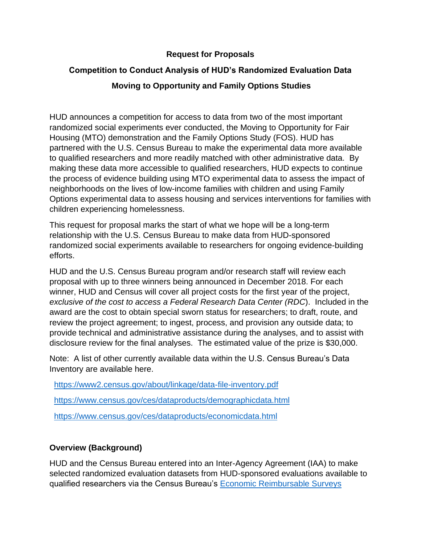#### **Request for Proposals**

### **Competition to Conduct Analysis of HUD's Randomized Evaluation Data**

## **Moving to Opportunity and Family Options Studies**

HUD announces a competition for access to data from two of the most important randomized social experiments ever conducted, the Moving to Opportunity for Fair Housing (MTO) demonstration and the Family Options Study (FOS). HUD has partnered with the U.S. Census Bureau to make the experimental data more available to qualified researchers and more readily matched with other administrative data. By making these data more accessible to qualified researchers, HUD expects to continue the process of evidence building using MTO experimental data to assess the impact of neighborhoods on the lives of low-income families with children and using Family Options experimental data to assess housing and services interventions for families with children experiencing homelessness.

This request for proposal marks the start of what we hope will be a long-term relationship with the U.S. Census Bureau to make data from HUD-sponsored randomized social experiments available to researchers for ongoing evidence-building efforts.

HUD and the U.S. Census Bureau program and/or research staff will review each proposal with up to three winners being announced in December 2018. For each winner, HUD and Census will cover all project costs for the first year of the project, *exclusive of the cost to access a Federal Research Data Center (RDC*). Included in the award are the cost to obtain special sworn status for researchers; to draft, route, and review the project agreement; to ingest, process, and provision any outside data; to provide technical and administrative assistance during the analyses, and to assist with disclosure review for the final analyses. The estimated value of the prize is \$30,000.

Note: A list of other currently available data within the U.S. Census Bureau's Data Inventory are available here.

<https://www2.census.gov/about/linkage/data-file-inventory.pdf>

<https://www.census.gov/ces/dataproducts/demographicdata.html>

<https://www.census.gov/ces/dataproducts/economicdata.html>

# **Overview (Background)**

HUD and the Census Bureau entered into an Inter-Agency Agreement (IAA) to make selected randomized evaluation datasets from HUD-sponsored evaluations available to qualified researchers via the Census Bureau's [Economic Reimbursable Surveys](https://www.census.gov/about/adrm/linkage.html)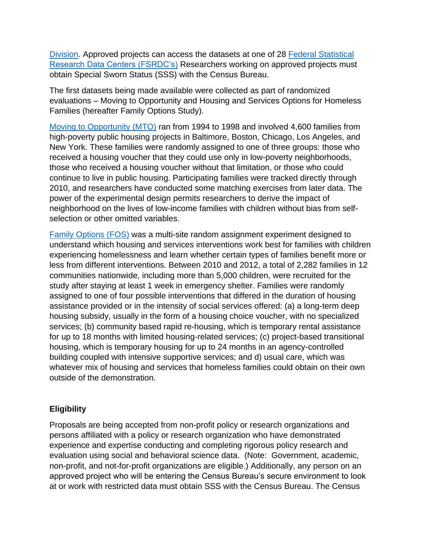[Division.](https://www.census.gov/about/adrm/linkage.html) Approved projects can access the datasets at one of 28 [Federal Statistical](https://www.census.gov/about/adrm/fsrdc/locations.html)  [Research Data Centers \(FSRDC's\)](https://www.census.gov/about/adrm/fsrdc/locations.html) Researchers working on approved projects must obtain Special Sworn Status (SSS) with the Census Bureau.

The first datasets being made available were collected as part of randomized evaluations – Moving to Opportunity and Housing and Services Options for Homeless Families (hereafter Family Options Study).

[Moving to Opportunity \(MTO\)](https://www.huduser.gov/portal/publications/pubasst/MTOFHD.html) ran from 1994 to 1998 and involved 4,600 families from high-poverty public housing projects in Baltimore, Boston, Chicago, Los Angeles, and New York. These families were randomly assigned to one of three groups: those who received a housing voucher that they could use only in low-poverty neighborhoods, those who received a housing voucher without that limitation, or those who could continue to live in public housing. Participating families were tracked directly through 2010, and researchers have conducted some matching exercises from later data. The power of the experimental design permits researchers to derive the impact of neighborhood on the lives of low-income families with children without bias from selfselection or other omitted variables.

[Family Options](https://www.huduser.gov/portal/publications/Family-Options-Study.html) (FOS) was a multi-site random assignment experiment designed to understand which housing and services interventions work best for families with children experiencing homelessness and learn whether certain types of families benefit more or less from different interventions. Between 2010 and 2012, a total of 2,282 families in 12 communities nationwide, including more than 5,000 children, were recruited for the study after staying at least 1 week in emergency shelter. Families were randomly assigned to one of four possible interventions that differed in the duration of housing assistance provided or in the intensity of social services offered: (a) a long-term deep housing subsidy, usually in the form of a housing choice voucher, with no specialized services; (b) community based rapid re-housing, which is temporary rental assistance for up to 18 months with limited housing-related services; (c) project-based transitional housing, which is temporary housing for up to 24 months in an agency-controlled building coupled with intensive supportive services; and d) usual care, which was whatever mix of housing and services that homeless families could obtain on their own outside of the demonstration.

### **Eligibility**

Proposals are being accepted from non-profit policy or research organizations and persons affiliated with a policy or research organization who have demonstrated experience and expertise conducting and completing rigorous policy research and evaluation using social and behavioral science data. (Note: Government, academic, non-profit, and not-for-profit organizations are eligible.) Additionally, any person on an approved project who will be entering the Census Bureau's secure environment to look at or work with restricted data must obtain SSS with the Census Bureau. The Census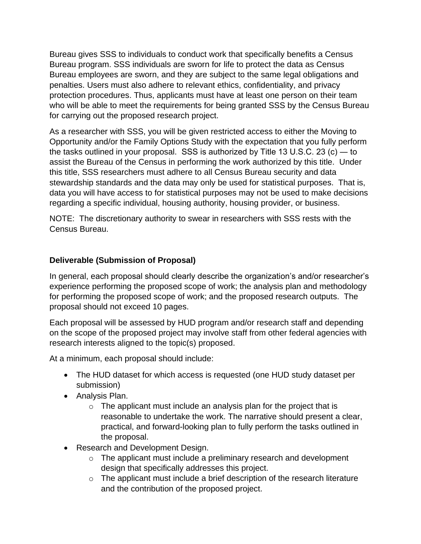Bureau gives SSS to individuals to conduct work that specifically benefits a Census Bureau program. SSS individuals are sworn for life to protect the data as Census Bureau employees are sworn, and they are subject to the same legal obligations and penalties. Users must also adhere to relevant ethics, confidentiality, and privacy protection procedures. Thus, applicants must have at least one person on their team who will be able to meet the requirements for being granted SSS by the Census Bureau for carrying out the proposed research project.

As a researcher with SSS, you will be given restricted access to either the Moving to Opportunity and/or the Family Options Study with the expectation that you fully perform the tasks outlined in your proposal. SSS is authorized by Title 13 U.S.C. 23 (c) ― to assist the Bureau of the Census in performing the work authorized by this title. Under this title, SSS researchers must adhere to all Census Bureau security and data stewardship standards and the data may only be used for statistical purposes. That is, data you will have access to for statistical purposes may not be used to make decisions regarding a specific individual, housing authority, housing provider, or business.

NOTE: The discretionary authority to swear in researchers with SSS rests with the Census Bureau.

### **Deliverable (Submission of Proposal)**

In general, each proposal should clearly describe the organization's and/or researcher's experience performing the proposed scope of work; the analysis plan and methodology for performing the proposed scope of work; and the proposed research outputs. The proposal should not exceed 10 pages.

Each proposal will be assessed by HUD program and/or research staff and depending on the scope of the proposed project may involve staff from other federal agencies with research interests aligned to the topic(s) proposed.

At a minimum, each proposal should include:

- The HUD dataset for which access is requested (one HUD study dataset per submission)
- Analysis Plan.
	- $\circ$  The applicant must include an analysis plan for the project that is reasonable to undertake the work. The narrative should present a clear, practical, and forward-looking plan to fully perform the tasks outlined in the proposal.
- Research and Development Design.
	- o The applicant must include a preliminary research and development design that specifically addresses this project.
	- $\circ$  The applicant must include a brief description of the research literature and the contribution of the proposed project.